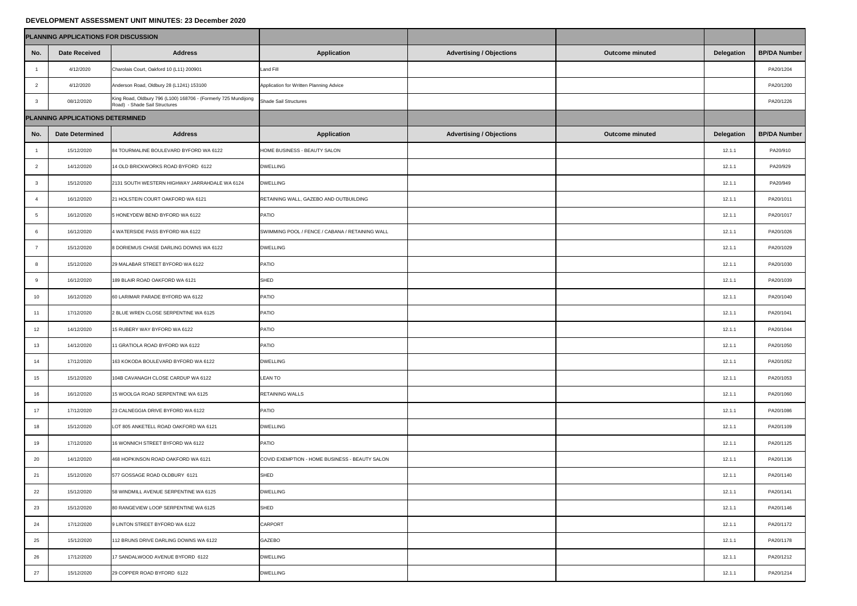## **DEVELOPMENT ASSESSMENT UNIT MINUTES: 23 December 2020**

|                 | PLANNING APPLICATIONS FOR DISCUSSION |                                                                                                 |                                                 |                                 |                        |                   |                     |
|-----------------|--------------------------------------|-------------------------------------------------------------------------------------------------|-------------------------------------------------|---------------------------------|------------------------|-------------------|---------------------|
| No.             | <b>Date Received</b>                 | <b>Address</b>                                                                                  | <b>Application</b>                              | <b>Advertising / Objections</b> | <b>Outcome minuted</b> | <b>Delegation</b> | <b>BP/DA Number</b> |
|                 | 4/12/2020                            | Charolais Court, Oakford 10 (L11) 200901                                                        | <b>Land Fill</b>                                |                                 |                        |                   | PA20/1204           |
| $\overline{2}$  | 4/12/2020                            | Anderson Road, Oldbury 28 (L1241) 153100                                                        | Application for Written Planning Advice         |                                 |                        |                   | PA20/1200           |
| $\mathbf{3}$    | 08/12/2020                           | King Road, Oldbury 796 (L100) 168706 - (Formerly 725 Mundijong<br>Road) - Shade Sail Structures | <b>Shade Sail Structures</b>                    |                                 |                        |                   | PA20/1226           |
|                 | PLANNING APPLICATIONS DETERMINED     |                                                                                                 |                                                 |                                 |                        |                   |                     |
| No.             | <b>Date Determined</b>               | <b>Address</b>                                                                                  | <b>Application</b>                              | <b>Advertising / Objections</b> | <b>Outcome minuted</b> | <b>Delegation</b> | <b>BP/DA Number</b> |
|                 | 15/12/2020                           | 84 TOURMALINE BOULEVARD BYFORD WA 6122                                                          | HOME BUSINESS - BEAUTY SALON                    |                                 |                        | 12.1.1            | PA20/910            |
| $\overline{2}$  | 14/12/2020                           | 14 OLD BRICKWORKS ROAD BYFORD 6122                                                              | <b>DWELLING</b>                                 |                                 |                        | 12.1.1            | PA20/929            |
| $\mathbf{3}$    | 15/12/2020                           | 2131 SOUTH WESTERN HIGHWAY JARRAHDALE WA 6124                                                   | <b>DWELLING</b>                                 |                                 |                        | 12.1.1            | PA20/949            |
|                 | 16/12/2020                           | 21 HOLSTEIN COURT OAKFORD WA 6121                                                               | RETAINING WALL, GAZEBO AND OUTBUILDING          |                                 |                        | 12.1.1            | PA20/1011           |
| $5\overline{)}$ | 16/12/2020                           | 5 HONEYDEW BEND BYFORD WA 6122                                                                  | PATIO                                           |                                 |                        | 12.1.1            | PA20/1017           |
| 6               | 16/12/2020                           | 4 WATERSIDE PASS BYFORD WA 6122                                                                 | SWIMMING POOL / FENCE / CABANA / RETAINING WALL |                                 |                        | 12.1.1            | PA20/1026           |
| $\overline{7}$  | 15/12/2020                           | 8 DORIEMUS CHASE DARLING DOWNS WA 6122                                                          | <b>DWELLING</b>                                 |                                 |                        | 12.1.1            | PA20/1029           |
| 8               | 15/12/2020                           | 29 MALABAR STREET BYFORD WA 6122                                                                | <b>PATIO</b>                                    |                                 |                        | 12.1.1            | PA20/1030           |
| 9               | 16/12/2020                           | 189 BLAIR ROAD OAKFORD WA 6121                                                                  | <b>SHED</b>                                     |                                 |                        | 12.1.1            | PA20/1039           |
| 10              | 16/12/2020                           | 60 LARIMAR PARADE BYFORD WA 6122                                                                | <b>PATIO</b>                                    |                                 |                        | 12.1.1            | PA20/1040           |
| 11              | 17/12/2020                           | 2 BLUE WREN CLOSE SERPENTINE WA 6125                                                            | <b>PATIO</b>                                    |                                 |                        | 12.1.1            | PA20/1041           |
| 12              | 14/12/2020                           | 15 RUBERY WAY BYFORD WA 6122                                                                    | <b>PATIO</b>                                    |                                 |                        | 12.1.1            | PA20/1044           |
| 13              | 14/12/2020                           | 11 GRATIOLA ROAD BYFORD WA 6122                                                                 | <b>PATIO</b>                                    |                                 |                        | 12.1.1            | PA20/1050           |
| 14              | 17/12/2020                           | 163 KOKODA BOULEVARD BYFORD WA 6122                                                             | <b>DWELLING</b>                                 |                                 |                        | 12.1.1            | PA20/1052           |
| 15              | 15/12/2020                           | 104B CAVANAGH CLOSE CARDUP WA 6122                                                              | <b>LEAN TO</b>                                  |                                 |                        | 12.1.1            | PA20/1053           |
| 16              | 16/12/2020                           | 15 WOOLGA ROAD SERPENTINE WA 6125                                                               | <b>RETAINING WALLS</b>                          |                                 |                        | 12.1.1            | PA20/1060           |
| 17              | 17/12/2020                           | 23 CALNEGGIA DRIVE BYFORD WA 6122                                                               | PATIO                                           |                                 |                        | 12.1.1            | PA20/1086           |
| 18              | 15/12/2020                           | LOT 805 ANKETELL ROAD OAKFORD WA 6121                                                           | <b>DWELLING</b>                                 |                                 |                        | 12.1.1            | PA20/1109           |
| 19              | 17/12/2020                           | 16 WONNICH STREET BYFORD WA 6122                                                                | <b>PATIO</b>                                    |                                 |                        | 12.1.1            | PA20/1125           |
| 20              | 14/12/2020                           | 468 HOPKINSON ROAD OAKFORD WA 6121                                                              | COVID EXEMPTION - HOME BUSINESS - BEAUTY SALON  |                                 |                        | 12.1.1            | PA20/1136           |
| 21              | 15/12/2020                           | 577 GOSSAGE ROAD OLDBURY 6121                                                                   | SHED                                            |                                 |                        | 12.1.1            | PA20/1140           |
| 22              | 15/12/2020                           | 58 WINDMILL AVENUE SERPENTINE WA 6125                                                           | <b>DWELLING</b>                                 |                                 |                        | 12.1.1            | PA20/1141           |
| 23              | 15/12/2020                           | 80 RANGEVIEW LOOP SERPENTINE WA 6125                                                            | SHED                                            |                                 |                        | 12.1.1            | PA20/1146           |
| 24              | 17/12/2020                           | 9 LINTON STREET BYFORD WA 6122                                                                  | <b>CARPORT</b>                                  |                                 |                        | 12.1.1            | PA20/1172           |
| 25              | 15/12/2020                           | 112 BRUNS DRIVE DARLING DOWNS WA 6122                                                           | <b>GAZEBO</b>                                   |                                 |                        | 12.1.1            | PA20/1178           |
| 26              | 17/12/2020                           | 17 SANDALWOOD AVENUE BYFORD 6122                                                                | <b>DWELLING</b>                                 |                                 |                        | 12.1.1            | PA20/1212           |
| 27              | 15/12/2020                           | 29 COPPER ROAD BYFORD 6122                                                                      | <b>DWELLING</b>                                 |                                 |                        | 12.1.1            | PA20/1214           |

| umber         |
|---------------|
| 204           |
| 200           |
| 226           |
|               |
| umber         |
| <sup>10</sup> |
| )29           |
| 949           |
| 011           |
| 017           |
| 026           |
| 029           |
| 030           |
| 039           |
| 040           |
| 041           |
| 044           |
| 050           |
| 052           |
| 053           |
| 060           |
| ۹<br>086      |
| 109           |
| 125           |
| 136           |
| 140           |
| 141           |
| 146           |
| 172           |
| ٦<br>178      |
| 212           |
| 214           |